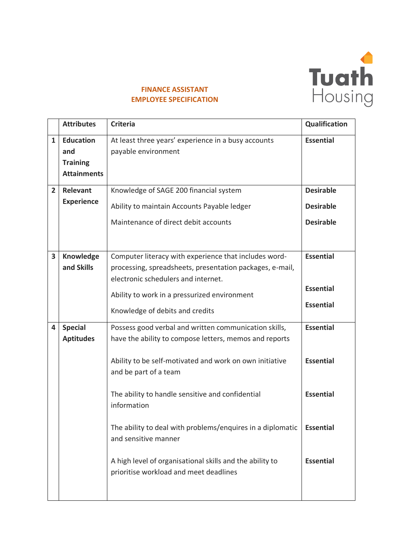

## **FINANCE ASSISTANT EMPLOYEE SPECIFICATION**

|                | <b>Attributes</b>                                                | <b>Criteria</b>                                                                                                                                                                                                                                                                                                                                                                                                                                                    | Qualification                                                                                    |
|----------------|------------------------------------------------------------------|--------------------------------------------------------------------------------------------------------------------------------------------------------------------------------------------------------------------------------------------------------------------------------------------------------------------------------------------------------------------------------------------------------------------------------------------------------------------|--------------------------------------------------------------------------------------------------|
| $\mathbf{1}$   | <b>Education</b><br>and<br><b>Training</b><br><b>Attainments</b> | At least three years' experience in a busy accounts<br>payable environment                                                                                                                                                                                                                                                                                                                                                                                         | <b>Essential</b>                                                                                 |
| $\overline{2}$ | Relevant<br><b>Experience</b>                                    | Knowledge of SAGE 200 financial system<br>Ability to maintain Accounts Payable ledger<br>Maintenance of direct debit accounts                                                                                                                                                                                                                                                                                                                                      | <b>Desirable</b><br><b>Desirable</b><br><b>Desirable</b>                                         |
| 3              | Knowledge<br>and Skills                                          | Computer literacy with experience that includes word-<br>processing, spreadsheets, presentation packages, e-mail,<br>electronic schedulers and internet.<br>Ability to work in a pressurized environment<br>Knowledge of debits and credits                                                                                                                                                                                                                        | <b>Essential</b><br><b>Essential</b><br><b>Essential</b>                                         |
| 4              | <b>Special</b><br><b>Aptitudes</b>                               | Possess good verbal and written communication skills,<br>have the ability to compose letters, memos and reports<br>Ability to be self-motivated and work on own initiative<br>and be part of a team<br>The ability to handle sensitive and confidential<br>information<br>The ability to deal with problems/enquires in a diplomatic<br>and sensitive manner<br>A high level of organisational skills and the ability to<br>prioritise workload and meet deadlines | <b>Essential</b><br><b>Essential</b><br><b>Essential</b><br><b>Essential</b><br><b>Essential</b> |